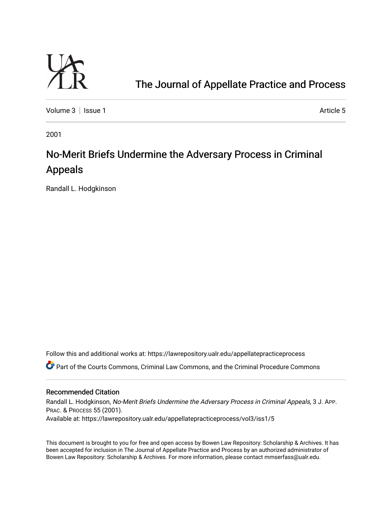

## [The Journal of Appellate Practice and Process](https://lawrepository.ualr.edu/appellatepracticeprocess)

[Volume 3](https://lawrepository.ualr.edu/appellatepracticeprocess/vol3) | [Issue 1](https://lawrepository.ualr.edu/appellatepracticeprocess/vol3/iss1) Article 5

2001

# No-Merit Briefs Undermine the Adversary Process in Criminal Appeals

Randall L. Hodgkinson

Follow this and additional works at: [https://lawrepository.ualr.edu/appellatepracticeprocess](https://lawrepository.ualr.edu/appellatepracticeprocess?utm_source=lawrepository.ualr.edu%2Fappellatepracticeprocess%2Fvol3%2Fiss1%2F5&utm_medium=PDF&utm_campaign=PDFCoverPages) 

Part of the [Courts Commons,](http://network.bepress.com/hgg/discipline/839?utm_source=lawrepository.ualr.edu%2Fappellatepracticeprocess%2Fvol3%2Fiss1%2F5&utm_medium=PDF&utm_campaign=PDFCoverPages) [Criminal Law Commons](http://network.bepress.com/hgg/discipline/912?utm_source=lawrepository.ualr.edu%2Fappellatepracticeprocess%2Fvol3%2Fiss1%2F5&utm_medium=PDF&utm_campaign=PDFCoverPages), and the [Criminal Procedure Commons](http://network.bepress.com/hgg/discipline/1073?utm_source=lawrepository.ualr.edu%2Fappellatepracticeprocess%2Fvol3%2Fiss1%2F5&utm_medium=PDF&utm_campaign=PDFCoverPages) 

#### Recommended Citation

Randall L. Hodgkinson, No-Merit Briefs Undermine the Adversary Process in Criminal Appeals, 3 J. APP. PRAC. & PROCESS 55 (2001). Available at: https://lawrepository.ualr.edu/appellatepracticeprocess/vol3/iss1/5

This document is brought to you for free and open access by [Bowen Law Repository: Scholarship & Archives.](macro%20site.link) It has been accepted for inclusion in The Journal of Appellate Practice and Process by an authorized administrator of Bowen Law Repository: Scholarship & Archives. For more information, please contact [mmserfass@ualr.edu.](mailto:mmserfass@ualr.edu)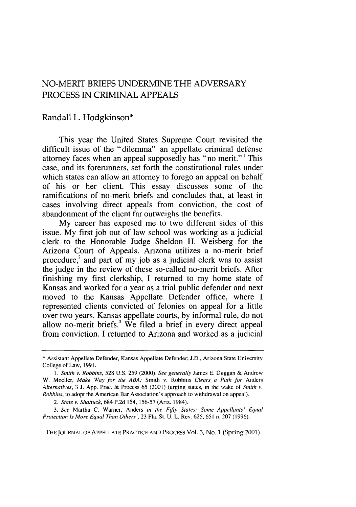### NO-MERIT BRIEFS UNDERMINE THE ADVERSARY PROCESS **IN** CRIMINAL APPEALS

#### Randall L. Hodgkinson\*

This year the United States Supreme Court revisited the difficult issue of the "dilemma" an appellate criminal defense attorney faces when an appeal supposedly has "no merit."' This case, and its forerunners, set forth the constitutional rules under which states can allow an attorney to forego an appeal on behalf of his or her client. This essay discusses some of the ramifications of no-merit briefs and concludes that, at least in cases involving direct appeals from conviction, the cost of abandonment of the client far outweighs the benefits.

My career has exposed me to two different sides of this issue. My first job out of law school was working as a judicial clerk to the Honorable Judge Sheldon H. Weisberg for the Arizona Court of Appeals. Arizona utilizes a no-merit brief procedure, $^{2}$  and part of my job as a judicial clerk was to assist the judge in the review of these so-called no-merit briefs. After finishing my first clerkship, I returned to my home state of Kansas and worked for a year as a trial public defender and next moved to the Kansas Appellate Defender office, where I represented clients convicted of felonies on appeal for a little over two years. Kansas appellate courts, by informal rule, do not allow no-merit briefs.' We filed a brief in every direct appeal from conviction. I returned to Arizona and worked as a judicial

**THE JOURNAL** OF APPELLATE PRACTICE AND PROCESS Vol. 3, No. 1 (Spring 2001)

<sup>\*</sup> Assistant Appellate Defender, Kansas Appellate Defender; J.D., Arizona State University College of Law, 1991.

*<sup>1.</sup> Smith v.* Robbins, 528 U.S. 259 (2000). *See generally* James E. Duggan & Andrew W. Moeller, *Make Way for the ABA:* Smith v. Robbins *Clears a Path for* Anders *Alternatives,* 3 J. App. Prac. & Process 65 (2001) (urging states, in the wake of *Smith v. Robbins,* to adopt the American Bar Association's approach to withdrawal on appeal).

*<sup>2.</sup> State v. Shattuck,* 684 P.2d 154, 156-57 (Ariz. 1984).

*<sup>3.</sup> See* Martha C. Warner, Anders *in the Fifty States: Some Appellants' Equal Protection Is More Equal Than Others',* 23 Fla. St. U. L. Rev. 625, 651 n. 207 (1996).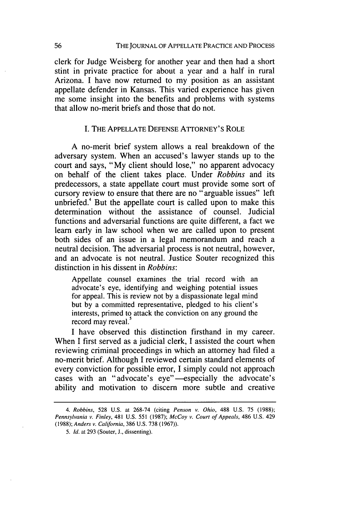clerk for Judge Weisberg for another year and then had a short stint in private practice for about a year and a half in rural Arizona. I have now returned to my position as an assistant appellate defender in Kansas. This varied experience has given me some insight into the benefits and problems with systems that allow no-merit briefs and those that do not.

#### I. THE APPELLATE DEFENSE ATTORNEY'S ROLE

A no-merit brief system allows a real breakdown of the adversary system. When an accused's lawyer stands up to the court and says, "My client should lose," no apparent advocacy on behalf of the client takes place. Under *Robbins* and its predecessors, a state appellate court must provide some sort of cursory review to ensure that there are no "arguable issues" left unbriefed.<sup>4</sup> But the appellate court is called upon to make this determination without the assistance of counsel. Judicial functions and adversarial functions are quite different, a fact we learn early in law school when we are called upon to present both sides of an issue in a legal memorandum and reach a neutral decision. The adversarial process is not neutral, however, and an advocate is not neutral. Justice Souter recognized this distinction in his dissent in *Robbins:*

Appellate counsel examines the trial record with an advocate's eye, identifying and weighing potential issues for appeal. This is review not by a dispassionate legal mind but by a committed representative, pledged to his client's interests, primed to attack the conviction on any ground the record may reveal.<sup>3</sup>

I have observed this distinction firsthand in my career. When I first served as a judicial clerk, I assisted the court when reviewing criminal proceedings in which an attorney had filed a no-merit brief. Although I reviewed certain standard elements of every conviction for possible error, I simply could not approach cases with an "advocate's eye"-especially the advocate's ability and motivation to discern more subtle and creative

*<sup>4.</sup>* Robbins, 528 U.S. at 268-74 (citing *Penson v. Ohio,* 488 U.S. 75 (1988); Pennsylvania *v. Finley,* 481 U.S. 551 (1987); *McCoy* v. Court of Appeals, 486 U.S. 429 (1988); Anders v. California, 386 U.S. 738 (1967)).

*<sup>5.</sup>* **Id.** at 293 (Souter, J., dissenting).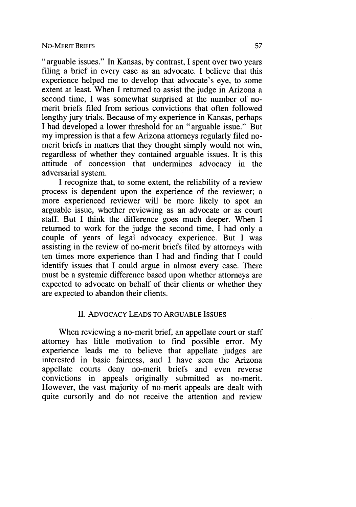"arguable issues." In Kansas, by contrast, I spent over two years filing a brief in every case as an advocate. I believe that this experience helped me to develop that advocate's eye, to some extent at least. When I returned to assist the judge in Arizona a second time, I was somewhat surprised at the number of nomerit briefs filed from serious convictions that often followed lengthy jury trials. Because of my experience in Kansas, perhaps I had developed a lower threshold for an "arguable issue." But my impression is that a few Arizona attorneys regularly filed nomerit briefs in matters that they thought simply would not win, regardless of whether they contained arguable issues. It is this attitude of concession that undermines advocacy in the adversarial system.

I recognize that, to some extent, the reliability of a review process is dependent upon the experience of the reviewer; a more experienced reviewer will be more likely to spot an arguable issue, whether reviewing as an advocate or as court staff. But I think the difference goes much deeper. When I returned to work for the judge the second time, I had only a couple of years of legal advocacy experience. But I was assisting in the review of no-merit briefs filed by attorneys with ten times more experience than I had and finding that I could identify issues that I could argue in almost every case. There must be a systemic difference based upon whether attorneys are expected to advocate on behalf of their clients or whether they are expected to abandon their clients.

#### **II.** ADVOCACY LEADS TO ARGUABLE **ISSUES**

When reviewing a no-merit brief, an appellate court or staff attorney has little motivation to find possible error. My experience leads me to believe that appellate judges are interested in basic fairness, and I have seen the Arizona appellate courts deny no-merit briefs and even reverse convictions in appeals originally submitted as no-merit. However, the vast majority of no-merit appeals are dealt with quite cursorily and do not receive the attention and review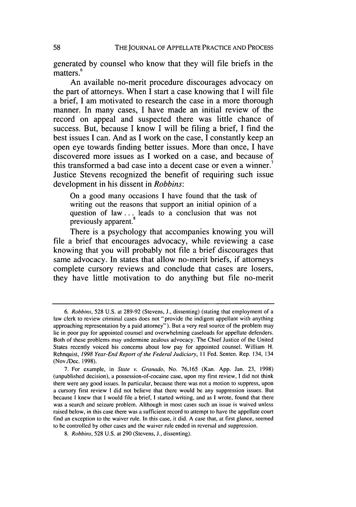generated **by** counsel who know that they will file briefs in the matters **. 6**

An available no-merit procedure discourages advocacy on the part of attorneys. When **I** start a case knowing that **I** will file a brief, **I** am motivated to research the case in a more thorough manner. In many cases, **I** have made an initial review of the record on appeal and suspected there was little chance of success. But, because **I** know **I** will be filing a brief, **I** find the best issues **I** can. And as **I** work on the case, **I** constantly keep an open eye towards finding better issues. More than once, **I** have discovered more issues as **I** worked on a case, and because of this transformed a bad case into a decent case or even a winner.' Justice Stevens recognized the benefit of requiring such issue development in his dissent in *Robbins:*

On a good many occasions **I** have found that the task of writing out the reasons that support an initial opinion of a question of **law...** leads to a conclusion that was not previously apparent.'

There is a psychology that accompanies knowing you will file a brief that encourages advocacy, while reviewing a case knowing that you will probably not file a brief discourages that same advocacy. In states that allow no-merit briefs, if attorneys complete cursory reviews and conclude that cases are losers, they have little motivation to do anything but file no-merit

**<sup>6.</sup> Robbins, 528 U.S.** at **289-92** (Stevens, **J.,** dissenting) (stating that employment of a law clerk to review criminal cases does not "provide the indigent appellant with anything approaching representation **by** a paid attorney"). But a very real source of the problem may lie in poor pay for appointed counsel and overwhelming caseloads for appellate defenders. Both of these problems may undermine zealous advocacy. The Chief Justice of the United States recently voiced his concerns about low pay for appointed counsel. William H. Rehnquist, **1998 Year-End Report of the Federal Judiciary,** *II* Fed. Senten. Rep. 134, 134 (Nov./Dec. **1998).**

**<sup>7.</sup>** For example, in **State v. Granado,** No. **76,165** (Kan. **App.** Jan. **23, 1998)** (unpublished decision), a possession-of-cocaine case, upon my first review, **I** did not think there were any good issues. In particular, because there was not a motion to suppress, upon a cursory first review **I** did not believe that there would be any suppression issues. But because **I** knew that **I** would file a brief, **I** started writing, and as **I** wrote, found that there was a search and seizure problem. Although in most cases such an issue is waived unless raised below, in this case there was a sufficient record to attempt to have the appellate court find an exception to the waiver rule. In this case, it did. **A** case that, at first glance, seemed to be controlled **by** other cases and the waiver rule ended in reversal and suppression.

*<sup>8.</sup>* **Robbins, 528 U.S.** at **290** (Stevens, **J.,** dissenting).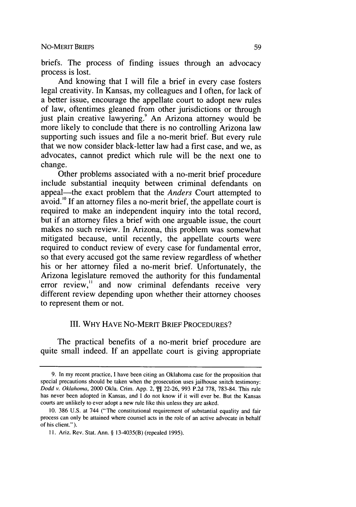briefs. The process of finding issues through an advocacy process is lost.

And knowing that I will file a brief in every case fosters legal creativity. In Kansas, my colleagues and I often, for lack of a better issue, encourage the appellate court to adopt new rules of law, oftentimes gleaned from other jurisdictions or through just plain creative lawyering.<sup>9</sup> An Arizona attorney would be more likely to conclude that there is no controlling Arizona law supporting such issues and file a no-merit brief. But every rule that we now consider black-letter law had a first case, and we, as advocates, cannot predict which rule will be the next one to change.

Other problems associated with a no-merit brief procedure include substantial inequity between criminal defendants on appeal-the exact problem that the *Anders* Court attempted to avoid.<sup>10</sup> If an attorney files a no-merit brief, the appellate court is required to make an independent inquiry into the total record, but if an attorney files a brief with one arguable issue, the court makes no such review. In Arizona, this problem was somewhat mitigated because, until recently, the appellate courts were required to conduct review of every case for fundamental error, so that every accused got the same review regardless of whether his or her attorney filed a no-merit brief. Unfortunately, the Arizona legislature removed the authority for this fundamental error review," and now criminal defendants receive very different review depending upon whether their attorney chooses to represent them or not.

#### III. WHY HAVE No-MERIT BRIEF PROCEDURES?

The practical benefits of a no-merit brief procedure are quite small indeed. If an appellate court is giving appropriate

<sup>9.</sup> In my recent practice, I have been citing an Oklahoma case for the proposition that special precautions should be taken when the prosecution uses jailhouse snitch testimony: *Dodd v.* Oklahoma, 2000 Okla. Crim. App. 2, **1\$** 22-26, 993 P.2d 778, 783-84. This rule has never been adopted in Kansas, and I do not know if it will ever be. But the Kansas courts are unlikely to ever adopt a new rule like this unless they are asked.

<sup>10. 386</sup> U.S. at 744 ("The constitutional requirement of substantial equality and fair process can only be attained where counsel acts in the role of an active advocate in behalf of his client.").

**<sup>11.</sup>** Ariz. Rev. Stat. Ann. § 13-4035(B) (repealed 1995).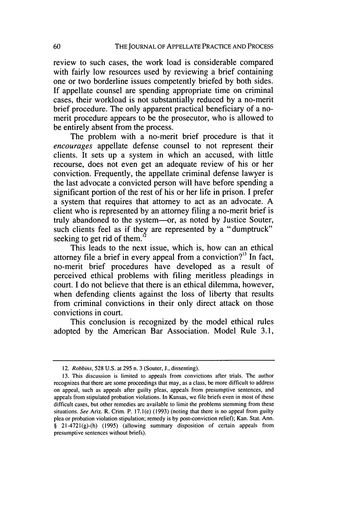review to such cases, the work load is considerable compared with fairly low resources used by reviewing a brief containing one or two borderline issues competently briefed by both sides. If appellate counsel are spending appropriate time on criminal cases, their workload is not substantially reduced by a no-merit brief procedure. The only apparent practical beneficiary of a nomerit procedure appears to be the prosecutor, who is allowed to be entirely absent from the process.

The problem with a no-merit brief procedure is that it *encourages* appellate defense counsel to not represent their clients. It sets up a system in which an accused, with little recourse, does not even get an adequate review of his or her conviction. Frequently, the appellate criminal defense lawyer is the last advocate a convicted person will have before spending a significant portion of the rest of his or her life in prison. I prefer a system that requires that attorney to act as an advocate. A client who is represented by an attorney filing a no-merit brief is truly abandoned to the system-or, as noted by Justice Souter, such clients feel as if they are represented by a "dumptruck" seeking to get rid of them.

This leads to the next issue, which is, how can an ethical attorney file a brief in every appeal from a conviction?<sup>13</sup> In fact, no-merit brief procedures have developed as a result of perceived ethical problems with filing meritless pleadings in court. I do not believe that there is an ethical dilemma, however, when defending clients against the loss of liberty that results from criminal convictions in their only direct attack on those convictions in court.

This conclusion is recognized by the model ethical rules adopted by the American Bar Association. Model Rule 3.1,

<sup>12.</sup> Robbins, 528 U.S. at 295 n. 3 (Souter, J., dissenting).

<sup>13.</sup> This discussion is limited to appeals from convictions after trials. The author recognizes that there are some proceedings that may, as a class, be more difficult to address on appeal, such as appeals after guilty pleas, appeals from presumptive sentences, and appeals from stipulated probation violations. In Kansas, we file briefs even in most of these difficult cases, but other remedies are available to limit the problems stemming from these situations. See Ariz. R. Crim. P. 17.1(e) (1993) (noting that there is no appeal from guilty plea or probation violation stipulation; remedy is by post-conviction relief); Kan. Stat. Ann. § 21-4721(g)-(h) (1995) (allowing summary disposition of certain appeals from presumptive sentences without briefs).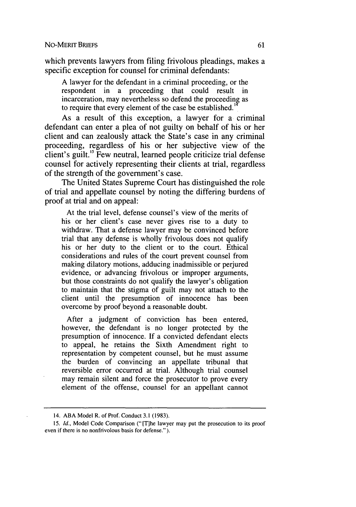which prevents lawyers from filing frivolous pleadings, makes a specific exception for counsel for criminal defendants:

A lawyer for the defendant in a criminal proceeding, or the respondent in a proceeding that could result in incarceration, may nevertheless so defend the proceeding as to require that every element of the case be established.'

As a result of this exception, a lawyer for a criminal defendant can enter a plea of not guilty on behalf of his or her client and can zealously attack the State's case in any criminal proceeding, regardless of his or her subjective view of the client's guilt.'5 Few neutral, learned people criticize trial defense counsel for actively representing their clients at trial, regardless of the strength of the government's case.

The United States Supreme Court has distinguished the role of trial and appellate counsel by noting the differing burdens of proof at trial and on appeal:

At the trial level, defense counsel's view of the merits of his or her client's case never gives rise to a duty to withdraw. That a defense lawyer may be convinced before trial that any defense is wholly frivolous does not qualify his or her duty to the client or to the court. Ethical considerations and rules of the court prevent counsel from making dilatory motions, adducing inadmissible or perjured evidence, or advancing frivolous or improper arguments, but those constraints do not qualify the lawyer's obligation to maintain that the stigma of guilt may not attach to the client until the presumption of innocence has been overcome by proof beyond a reasonable doubt.

After a judgment of conviction has been entered, however, the defendant is no longer protected by the presumption of innocence. If a convicted defendant elects to appeal, he retains the Sixth Amendment right to representation by competent counsel, but he must assume the burden of convincing an appellate tribunal that reversible error occurred at trial. Although trial counsel may remain silent and force the prosecutor to prove every element of the offense, counsel for an appellant cannot

<sup>14.</sup> ABA Model R. of Prof. Conduct 3.1 (1983).

<sup>15.</sup> *Id.,* Model Code Comparison (" [Tihe lawyer may put the prosecution to its proof even if there is no nonfrivolous basis for defense." ).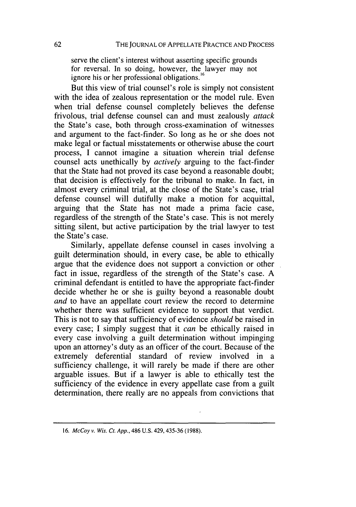serve the client's interest without asserting specific grounds for reversal. In so doing, however, the lawyer may not ignore his or her professional obligations.<sup>16</sup>

But this view of trial counsel's role is simply not consistent with the idea of zealous representation or the model rule. Even when trial defense counsel completely believes the defense frivolous, trial defense counsel can and must zealously *attack* the State's case, both through cross-examination of witnesses and argument to the fact-finder. So long as he or she does not make legal or factual misstatements or otherwise abuse the court process, I cannot imagine a situation wherein trial defense counsel acts unethically by *actively* arguing to the fact-finder that the State had not proved its case beyond a reasonable doubt; that decision is effectively for the tribunal to make. In fact, in almost every criminal trial, at the close of the State's case, trial defense counsel will dutifully make a motion for acquittal, arguing that the State has not made a prima facie case, regardless of the strength of the State's case. This is not merely sitting silent, but active participation by the trial lawyer to test the State's case.

Similarly, appellate defense counsel in cases involving a guilt determination should, in every case, be able to ethically argue that the evidence does not support a conviction or other fact in issue, regardless of the strength of the State's case. A criminal defendant is entitled to have the appropriate fact-finder decide whether he or she is guilty beyond a reasonable doubt *and* to have an appellate court review the record to determine whether there was sufficient evidence to support that verdict. This is not to say that sufficiency of evidence *should* be raised in every case; I simply suggest that it *can* be ethically raised in every case involving a guilt determination without impinging upon an attorney's duty as an officer of the court. Because of the extremely deferential standard of review involved in a sufficiency challenge, it will rarely be made if there are other arguable issues. But if a lawyer is able to ethically test the sufficiency of the evidence in every appellate case from a guilt determination, there really are no appeals from convictions that

<sup>16.</sup> *McCoy* v. *Wis. Ct. App.,* 486 U.S. 429, 435-36 (1988).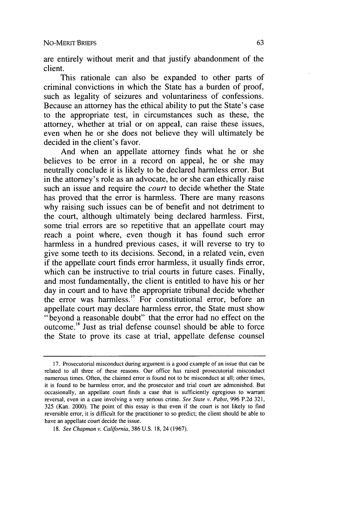are entirely without merit and that justify abandonment of the client.

This rationale can also be expanded to other parts of criminal convictions in which the State has a burden of proof, such as legality of seizures and voluntariness of confessions. Because an attorney has the ethical ability to put the State's case to the appropriate test, in circumstances such as these, the attorney, whether at trial or on appeal, can raise these issues, even when he or she does not believe they will ultimately be decided in the client's favor.

And when an appellate attorney finds what he or she believes to be error in a record on appeal, he or she may neutrally conclude it is likely to be declared harmless error. But in the attorney's role as an advocate, he or she can ethically raise such an issue and require the *court* to decide whether the State has proved that the error is harmless. There are many reasons why raising such issues can be of benefit and not detriment to the court, although ultimately being declared harmless. First, some trial errors are so repetitive that an appellate court may reach a point where, even though it has found such error harmless in a hundred previous cases, it will reverse to try to give some teeth to its decisions. Second, in a related vein, even if the appellate court finds error harmless, it usually finds error, which can be instructive to trial courts in future cases. Finally, and most fundamentally, the client is entitled to have his or her day in court and to have the appropriate tribunal decide whether the error was harmless.<sup>17</sup> For constitutional error, before an appellate court may declare harmless error, the State must show "beyond a reasonable doubt" that the error had no effect on the outcome." Just as trial defense counsel should be able to force the State to prove its case at trial, appellate defense counsel

<sup>17.</sup> Prosecutorial misconduct during argument is a good example of an issue that can be related to all three of these reasons. Our office has raised prosecutorial misconduct numerous times. Often, the claimed error is found not to be misconduct at all; other times, it is found to be harmless error, and the prosecutor and trial court are admonished. But occasionally, an appellate court finds a case that is sufficiently egregious to warrant reversal, even in a case involving a very serious crime. *See State v. Pabst,* 996 P.2d 321, 325 (Kan. 2000). The point of this essay is that even if the court is not likely to find reversible error, it is difficult for the practitioner to so predict; the client should be able to have an appellate court decide the issue.

<sup>18.</sup> *See Chapman v. California,* 386 U.S. 18, 24 (1967).